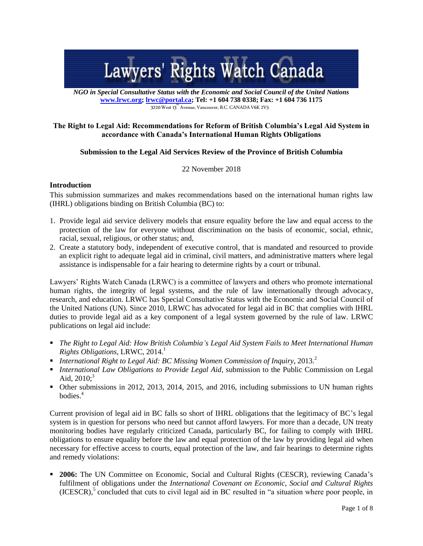# Lawyers' Rights Watch Canada

*NGO in Special Consultative Status with the Economic and Social Council of the United Nations* **[www.lrwc.org;](http://www.lrwc.org/) [lrwc@portal.ca;](mailto:lrwc@portal.ca) Tel: +1 604 738 0338; Fax: +1 604 736 1175** 3220 West 13<sup>th</sup> Avenue, Vancouver, B.C. CANADA V6K 2V5

# **The Right to Legal Aid: Recommendations for Reform of British Columbia's Legal Aid System in accordance with Canada's International Human Rights Obligations**

# **Submission to the Legal Aid Services Review of the Province of British Columbia**

22 November 2018

#### **Introduction**

This submission summarizes and makes recommendations based on the international human rights law (IHRL) obligations binding on British Columbia (BC) to:

- 1. Provide legal aid service delivery models that ensure equality before the law and equal access to the protection of the law for everyone without discrimination on the basis of economic, social, ethnic, racial, sexual, religious, or other status; and,
- 2. Create a statutory body, independent of executive control, that is mandated and resourced to provide an explicit right to adequate legal aid in criminal, civil matters, and administrative matters where legal assistance is indispensable for a fair hearing to determine rights by a court or tribunal.

Lawyers' Rights Watch Canada (LRWC) is a committee of lawyers and others who promote international human rights, the integrity of legal systems, and the rule of law internationally through advocacy, research, and education. LRWC has Special Consultative Status with the Economic and Social Council of the United Nations (UN). Since 2010, LRWC has advocated for legal aid in BC that complies with IHRL duties to provide legal aid as a key component of a legal system governed by the rule of law. LRWC publications on legal aid include:

- *The Right to Legal Aid: How British Columbia's Legal Aid System Fails to Meet International Human Rights Obligations, LRWC, 2014.*<sup>1</sup>
- *International Right to Legal Aid: BC Missing Women Commission of Inquiry,* 2013.<sup>2</sup>
- *International Law Obligations to Provide Legal Aid*, submission to the Public Commission on Legal Aid,  $2010$ ;<sup>3</sup>
- Other submissions in 2012, 2013, 2014, 2015, and 2016, including submissions to UN human rights bodies.<sup>4</sup>

Current provision of legal aid in BC falls so short of IHRL obligations that the legitimacy of BC's legal system is in question for persons who need but cannot afford lawyers. For more than a decade, UN treaty monitoring bodies have regularly criticized Canada, particularly BC, for failing to comply with IHRL obligations to ensure equality before the law and equal protection of the law by providing legal aid when necessary for effective access to courts, equal protection of the law, and fair hearings to determine rights and remedy violations:

**2006:** The UN Committee on Economic, Social and Cultural Rights (CESCR), reviewing Canada's fulfilment of obligations under the *International Covenant on Economic, Social and Cultural Rights* (ICESCR),<sup>5</sup> concluded that cuts to civil legal aid in BC resulted in "a situation where poor people, in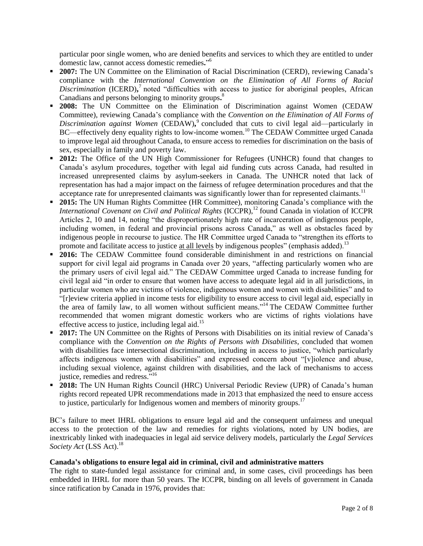particular poor single women, who are denied benefits and services to which they are entitled to under domestic law, cannot access domestic remedies**.**" 6

- **2007:** The UN Committee on the Elimination of Racial Discrimination (CERD), reviewing Canada's compliance with the *International Convention on the Elimination of All Forms of Racial*  Discrimination (ICERD),<sup>7</sup> noted "difficulties with access to justice for aboriginal peoples, African Canadians and persons belonging to minority groups**.** 8
- **2008:** The UN Committee on the Elimination of Discrimination against Women (CEDAW Committee), reviewing Canada's compliance with the *Convention on the Elimination of All Forms of*  Discrimination against Women (CEDAW),<sup>9</sup> concluded that cuts to civil legal aid—particularly in BC—effectively deny equality rights to low-income women.<sup>10</sup> The CEDAW Committee urged Canada to improve legal aid throughout Canada, to ensure access to remedies for discrimination on the basis of sex, especially in family and poverty law.
- **2012:** The Office of the UN High Commissioner for Refugees (UNHCR) found that changes to Canada's asylum procedures, together with legal aid funding cuts across Canada, had resulted in increased unrepresented claims by asylum-seekers in Canada. The UNHCR noted that lack of representation has had a major impact on the fairness of refugee determination procedures and that the acceptance rate for unrepresented claimants was significantly lower than for represented claimants.<sup>11</sup>
- **2015:** The UN Human Rights Committee (HR Committee), monitoring Canada's compliance with the *International Covenant on Civil and Political Rights* (ICCPR),<sup>12</sup> found Canada in violation of ICCPR Articles 2, 10 and 14, noting "the disproportionately high rate of incarceration of indigenous people, including women, in federal and provincial prisons across Canada," as well as obstacles faced by indigenous people in recourse to justice. The HR Committee urged Canada to "strengthen its efforts to promote and facilitate access to justice at all levels by indigenous peoples" (emphasis added).<sup>13</sup>
- **2016:** The CEDAW Committee found considerable diminishment in and restrictions on financial support for civil legal aid programs in Canada over 20 years, "affecting particularly women who are the primary users of civil legal aid." The CEDAW Committee urged Canada to increase funding for civil legal aid "in order to ensure that women have access to adequate legal aid in all jurisdictions, in particular women who are victims of violence, indigenous women and women with disabilities" and to "[r]eview criteria applied in income tests for eligibility to ensure access to civil legal aid, especially in the area of family law, to all women without sufficient means."<sup>14</sup> The CEDAW Committee further recommended that women migrant domestic workers who are victims of rights violations have effective access to justice, including legal aid.<sup>15</sup>
- **2017:** The UN Committee on the Rights of Persons with Disabilities on its initial review of Canada's compliance with the *Convention on the Rights of Persons with Disabilities*, concluded that women with disabilities face intersectional discrimination, including in access to justice, "which particularly affects indigenous women with disabilities" and expressed concern about "[v]iolence and abuse, including sexual violence, against children with disabilities, and the lack of mechanisms to access justice, remedies and redress."<sup>16</sup>
- **2018:** The UN Human Rights Council (HRC) Universal Periodic Review (UPR) of Canada's human rights record repeated UPR recommendations made in 2013 that emphasized the need to ensure access to justice, particularly for Indigenous women and members of minority groups.<sup>17</sup>

BC's failure to meet IHRL obligations to ensure legal aid and the consequent unfairness and unequal access to the protection of the law and remedies for rights violations, noted by UN bodies, are inextricably linked with inadequacies in legal aid service delivery models, particularly the *Legal Services Society Act* (LSS Act). 18

### **Canada's obligations to ensure legal aid in criminal, civil and administrative matters**

The right to state-funded legal assistance for criminal and, in some cases, civil proceedings has been embedded in IHRL for more than 50 years. The ICCPR, binding on all levels of government in Canada since ratification by Canada in 1976, provides that: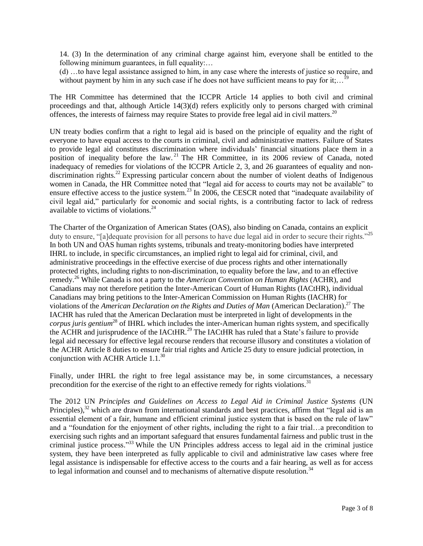14. (3) In the determination of any criminal charge against him, everyone shall be entitled to the following minimum guarantees, in full equality:...

(d) …to have legal assistance assigned to him, in any case where the interests of justice so require, and without payment by him in any such case if he does not have sufficient means to pay for it;...

The HR Committee has determined that the ICCPR Article 14 applies to both civil and criminal proceedings and that, although Article 14(3)(d) refers explicitly only to persons charged with criminal offences, the interests of fairness may require States to provide free legal aid in civil matters.<sup>20</sup>

UN treaty bodies confirm that a right to legal aid is based on the principle of equality and the right of everyone to have equal access to the courts in criminal, civil and administrative matters. Failure of States to provide legal aid constitutes discrimination where individuals' financial situations place them in a position of inequality before the law. <sup>21</sup> The HR Committee, in its 2006 review of Canada, noted inadequacy of remedies for violations of the ICCPR Article 2, 3, and 26 guarantees of equality and nondiscrimination rights.<sup>22</sup> Expressing particular concern about the number of violent deaths of Indigenous women in Canada, the HR Committee noted that "legal aid for access to courts may not be available" to ensure effective access to the justice system.<sup>23</sup> In 2006, the CESCR noted that "inadequate availability of civil legal aid," particularly for economic and social rights, is a contributing factor to lack of redress available to victims of violations.<sup>24</sup>

The Charter of the Organization of American States (OAS), also binding on Canada, contains an explicit duty to ensure, "[a]dequate provision for all persons to have due legal aid in order to secure their rights."<sup>25</sup> In both UN and OAS human rights systems, tribunals and treaty-monitoring bodies have interpreted IHRL to include, in specific circumstances, an implied right to legal aid for criminal, civil, and administrative proceedings in the effective exercise of due process rights and other internationally protected rights, including rights to non-discrimination, to equality before the law, and to an effective remedy.<sup>26</sup> While Canada is not a party to the *American Convention on Human Rights* (ACHR), and Canadians may not therefore petition the Inter-American Court of Human Rights (IACtHR), individual Canadians may bring petitions to the Inter-American Commission on Human Rights (IACHR) for violations of the *American Declaration on the Rights and Duties of Man* (American Declaration). <sup>27</sup> The IACHR has ruled that the American Declaration must be interpreted in light of developments in the *corpus juris gentium*<sup>28</sup> of IHRL which includes the inter-American human rights system, and specifically the ACHR and jurisprudence of the IACtHR.<sup>29</sup> The IACtHR has ruled that a State's failure to provide legal aid necessary for effective legal recourse renders that recourse illusory and constitutes a violation of the ACHR Article 8 duties to ensure fair trial rights and Article 25 duty to ensure judicial protection, in conjunction with ACHR Article  $1.1^{30}$ 

Finally, under IHRL the right to free legal assistance may be, in some circumstances, a necessary precondition for the exercise of the right to an effective remedy for rights violations.<sup>31</sup>

The 2012 UN *Principles and Guidelines on Access to Legal Aid in Criminal Justice Systems* (UN Principles),<sup>32</sup> which are drawn from international standards and best practices, affirm that "legal aid is an essential element of a fair, humane and efficient criminal justice system that is based on the rule of law" and a "foundation for the enjoyment of other rights, including the right to a fair trial…a precondition to exercising such rights and an important safeguard that ensures fundamental fairness and public trust in the criminal justice process." <sup>33</sup> While the UN Principles address access to legal aid in the criminal justice system, they have been interpreted as fully applicable to civil and administrative law cases where free legal assistance is indispensable for effective access to the courts and a fair hearing, as well as for access to legal information and counsel and to mechanisms of alternative dispute resolution.<sup>34</sup>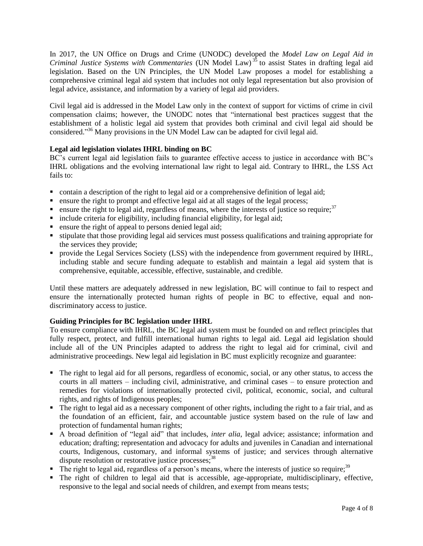In 2017, the UN Office on Drugs and Crime (UNODC) developed the *Model Law on Legal Aid in Criminal Justice Systems with Commentaries* (UN Model Law) <sup>35</sup> to assist States in drafting legal aid legislation. Based on the UN Principles, the UN Model Law proposes a model for establishing a comprehensive criminal legal aid system that includes not only legal representation but also provision of legal advice, assistance, and information by a variety of legal aid providers.

Civil legal aid is addressed in the Model Law only in the context of support for victims of crime in civil compensation claims; however, the UNODC notes that "international best practices suggest that the establishment of a holistic legal aid system that provides both criminal and civil legal aid should be considered."<sup>36</sup> Many provisions in the UN Model Law can be adapted for civil legal aid.

# **Legal aid legislation violates IHRL binding on BC**

BC's current legal aid legislation fails to guarantee effective access to justice in accordance with BC's IHRL obligations and the evolving international law right to legal aid. Contrary to IHRL, the LSS Act fails to:

- contain a description of the right to legal aid or a comprehensive definition of legal aid;
- **Exercise 1** ensure the right to prompt and effective legal aid at all stages of the legal process;
- **e** ensure the right to legal aid, regardless of means, where the interests of justice so require;<sup>37</sup>
- $\blacksquare$  include criteria for eligibility, including financial eligibility, for legal aid;
- **e** ensure the right of appeal to persons denied legal aid;
- stipulate that those providing legal aid services must possess qualifications and training appropriate for the services they provide;
- **•** provide the Legal Services Society (LSS) with the independence from government required by IHRL, including stable and secure funding adequate to establish and maintain a legal aid system that is comprehensive, equitable, accessible, effective, sustainable, and credible.

Until these matters are adequately addressed in new legislation, BC will continue to fail to respect and ensure the internationally protected human rights of people in BC to effective, equal and nondiscriminatory access to justice.

### **Guiding Principles for BC legislation under IHRL**

To ensure compliance with IHRL, the BC legal aid system must be founded on and reflect principles that fully respect, protect, and fulfill international human rights to legal aid. Legal aid legislation should include all of the UN Principles adapted to address the right to legal aid for criminal, civil and administrative proceedings. New legal aid legislation in BC must explicitly recognize and guarantee:

- The right to legal aid for all persons, regardless of economic, social, or any other status, to access the courts in all matters – including civil, administrative, and criminal cases – to ensure protection and remedies for violations of internationally protected civil, political, economic, social, and cultural rights, and rights of Indigenous peoples;
- The right to legal aid as a necessary component of other rights, including the right to a fair trial, and as the foundation of an efficient, fair, and accountable justice system based on the rule of law and protection of fundamental human rights;
- A broad definition of "legal aid" that includes, *inter alia*, legal advice; assistance; information and education; drafting; representation and advocacy for adults and juveniles in Canadian and international courts, Indigenous, customary, and informal systems of justice; and services through alternative dispute resolution or restorative justice processes;<sup>38</sup>
- $\blacksquare$  The right to legal aid, regardless of a person's means, where the interests of justice so require;<sup>39</sup>
- The right of children to legal aid that is accessible, age-appropriate, multidisciplinary, effective, responsive to the legal and social needs of children, and exempt from means tests;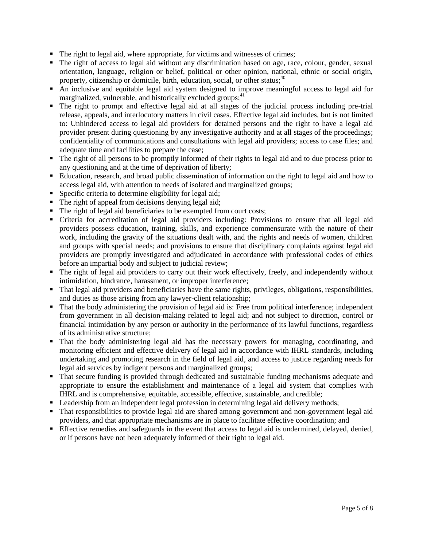- The right to legal aid, where appropriate, for victims and witnesses of crimes;
- The right of access to legal aid without any discrimination based on age, race, colour, gender, sexual orientation, language, religion or belief, political or other opinion, national, ethnic or social origin, property, citizenship or domicile, birth, education, social, or other status;<sup>40</sup>
- An inclusive and equitable legal aid system designed to improve meaningful access to legal aid for marginalized, vulnerable, and historically excluded groups;<sup>41</sup>
- The right to prompt and effective legal aid at all stages of the judicial process including pre-trial release, appeals, and interlocutory matters in civil cases. Effective legal aid includes, but is not limited to: Unhindered access to legal aid providers for detained persons and the right to have a legal aid provider present during questioning by any investigative authority and at all stages of the proceedings; confidentiality of communications and consultations with legal aid providers; access to case files; and adequate time and facilities to prepare the case;
- The right of all persons to be promptly informed of their rights to legal aid and to due process prior to any questioning and at the time of deprivation of liberty;
- Education, research, and broad public dissemination of information on the right to legal aid and how to access legal aid, with attention to needs of isolated and marginalized groups;
- **Specific criteria to determine eligibility for legal aid;**
- The right of appeal from decisions denying legal aid;
- The right of legal aid beneficiaries to be exempted from court costs;
- Criteria for accreditation of legal aid providers including: Provisions to ensure that all legal aid providers possess education, training, skills, and experience commensurate with the nature of their work, including the gravity of the situations dealt with, and the rights and needs of women, children and groups with special needs; and provisions to ensure that disciplinary complaints against legal aid providers are promptly investigated and adjudicated in accordance with professional codes of ethics before an impartial body and subject to judicial review;
- The right of legal aid providers to carry out their work effectively, freely, and independently without intimidation, hindrance, harassment, or improper interference;
- That legal aid providers and beneficiaries have the same rights, privileges, obligations, responsibilities, and duties as those arising from any lawyer-client relationship;
- That the body administering the provision of legal aid is: Free from political interference; independent from government in all decision-making related to legal aid; and not subject to direction, control or financial intimidation by any person or authority in the performance of its lawful functions, regardless of its administrative structure;
- That the body administering legal aid has the necessary powers for managing, coordinating, and monitoring efficient and effective delivery of legal aid in accordance with IHRL standards, including undertaking and promoting research in the field of legal aid, and access to justice regarding needs for legal aid services by indigent persons and marginalized groups;
- That secure funding is provided through dedicated and sustainable funding mechanisms adequate and appropriate to ensure the establishment and maintenance of a legal aid system that complies with IHRL and is comprehensive, equitable, accessible, effective, sustainable, and credible;
- Leadership from an independent legal profession in determining legal aid delivery methods;
- That responsibilities to provide legal aid are shared among government and non-government legal aid providers, and that appropriate mechanisms are in place to facilitate effective coordination; and
- Effective remedies and safeguards in the event that access to legal aid is undermined, delayed, denied, or if persons have not been adequately informed of their right to legal aid.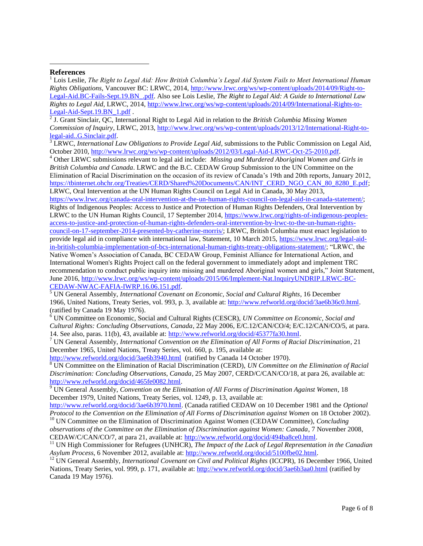#### **References**

 $\overline{\phantom{a}}$ 

<sup>1</sup> Lois Leslie, *The Right to Legal Aid: How British Columbia's Legal Aid System Fails to Meet International Human Rights Obligations,* Vancouver BC: LRWC, 2014, [http://www.lrwc.org/ws/wp-content/uploads/2014/09/Right-to-](http://www.lrwc.org/ws/wp-content/uploads/2014/09/Right-to-Legal-Aid.BC-Fails-Sept.19.BN_.pdf)[Legal-Aid.BC-Fails-Sept.19.BN\\_.pdf.](http://www.lrwc.org/ws/wp-content/uploads/2014/09/Right-to-Legal-Aid.BC-Fails-Sept.19.BN_.pdf) Also see Lois Leslie, *The Right to Legal Aid: A Guide to International Law Rights to Legal Aid,* LRWC, 2014[, http://www.lrwc.org/ws/wp-content/uploads/2014/09/International-Rights-to-](http://www.lrwc.org/ws/wp-content/uploads/2014/09/International-Rights-to-Legal-Aid-Sept.19.BN_1.pdf)

[Legal-Aid-Sept.19.BN\\_1.pdf](http://www.lrwc.org/ws/wp-content/uploads/2014/09/International-Rights-to-Legal-Aid-Sept.19.BN_1.pdf) . 2 J. Grant Sinclair, QC, International Right to Legal Aid in relation to the *British Columbia Missing Women Commission of Inquiry*, LRWC, 2013[, http://www.lrwc.org/ws/wp-content/uploads/2013/12/International-Right-to](http://www.lrwc.org/ws/wp-content/uploads/2013/12/International-Right-to-legal-aid..G.Sinclair.pdf)[legal-aid..G.Sinclair.pdf.](http://www.lrwc.org/ws/wp-content/uploads/2013/12/International-Right-to-legal-aid..G.Sinclair.pdf)

<sup>3</sup> LRWC, *International Law Obligations to Provide Legal Aid*, submissions to the Public Commission on Legal Aid, October 2010[, http://www.lrwc.org/ws/wp-content/uploads/2012/03/Legal-Aid-LRWC-Oct-25-2010.pdf.](http://www.lrwc.org/ws/wp-content/uploads/2012/03/Legal-Aid-LRWC-Oct-25-2010.pdf)

<sup>4</sup> Other LRWC submissions relevant to legal aid include: *Missing and Murdered Aboriginal Women and Girls in British Columbia and Canada*. LRWC and the B.C. CEDAW Group Submission to the UN Committee on the Elimination of Racial Discrimination on the occasion of its review of Canada's 19th and 20th reports, January 2012, [https://tbinternet.ohchr.org/Treaties/CERD/Shared%20Documents/CAN/INT\\_CERD\\_NGO\\_CAN\\_80\\_8280\\_E.pdf;](https://tbinternet.ohchr.org/Treaties/CERD/Shared%20Documents/CAN/INT_CERD_NGO_CAN_80_8280_E.pdf) LRWC, Oral Intervention at the UN Human Rights Council on Legal Aid in Canada, 30 May 2013,

[https://www.lrwc.org/canada-oral-intervention-at-the-un-human-rights-council-on-legal-aid-in-canada-statement/;](https://www.lrwc.org/canada-oral-intervention-at-the-un-human-rights-council-on-legal-aid-in-canada-statement/) Rights of Indigenous Peoples: Access to Justice and Protection of Human Rights Defenders, Oral Intervention by LRWC to the UN Human Rights Council, 17 September 2014, [https://www.lrwc.org/rights-of-indigenous-peoples](https://www.lrwc.org/rights-of-indigenous-peoples-access-to-justice-and-protection-of-human-rights-defenders-oral-intervention-by-lrwc-to-the-un-human-rights-council-on-17-september-2014-presented-by-catherine-morris/)[access-to-justice-and-protection-of-human-rights-defenders-oral-intervention-by-lrwc-to-the-un-human-rights](https://www.lrwc.org/rights-of-indigenous-peoples-access-to-justice-and-protection-of-human-rights-defenders-oral-intervention-by-lrwc-to-the-un-human-rights-council-on-17-september-2014-presented-by-catherine-morris/)[council-on-17-september-2014-presented-by-catherine-morris/;](https://www.lrwc.org/rights-of-indigenous-peoples-access-to-justice-and-protection-of-human-rights-defenders-oral-intervention-by-lrwc-to-the-un-human-rights-council-on-17-september-2014-presented-by-catherine-morris/) LRWC, British Columbia must enact legislation to provide legal aid in compliance with international law, Statement, 10 March 2015, [https://www.lrwc.org/legal-aid](https://www.lrwc.org/legal-aid-in-british-columbia-implementation-of-bcs-international-human-rights-treaty-obligations-statement/)[in-british-columbia-implementation-of-bcs-international-human-rights-treaty-obligations-statement/;](https://www.lrwc.org/legal-aid-in-british-columbia-implementation-of-bcs-international-human-rights-treaty-obligations-statement/) "LRWC, the Native Women's Association of Canada, BC CEDAW Group, Feminist Alliance for International Action, and International Women's Rights Project call on the federal government to immediately adopt and implement TRC recommendation to conduct public inquiry into missing and murdered Aboriginal women and girls," Joint Statement, June 2016, [http://www.lrwc.org/ws/wp-content/uploads/2015/06/Implement-Nat.InquiryUNDRIP.LRWC-BC-](http://www.lrwc.org/ws/wp-content/uploads/2015/06/Implement-Nat.InquiryUNDRIP.LRWC-BC-CEDAW-NWAC-FAFIA-IWRP.16.06.151.pdf)[CEDAW-NWAC-FAFIA-IWRP.16.06.151.pdf.](http://www.lrwc.org/ws/wp-content/uploads/2015/06/Implement-Nat.InquiryUNDRIP.LRWC-BC-CEDAW-NWAC-FAFIA-IWRP.16.06.151.pdf)

<sup>5</sup> UN General Assembly, *International Covenant on Economic, Social and Cultural Rights*, 16 December 1966, United Nations, Treaty Series, vol. 993, p. 3, available at[: http://www.refworld.org/docid/3ae6b36c0.html.](http://www.refworld.org/docid/3ae6b36c0.html) (ratified by Canada 19 May 1976).

<sup>6</sup> UN Committee on Economic, Social and Cultural Rights (CESCR), *UN Committee on Economic, Social and Cultural Rights: Concluding Observations, Canada*, 22 May 2006, E/C.12/CAN/CO/4; E/C.12/CAN/CO/5, at para. 14. See also, paras. 11(b), 43, available at: [http://www.refworld.org/docid/45377fa30.html.](http://www.refworld.org/docid/45377fa30.html)

<sup>7</sup> UN General Assembly, *International Convention on the Elimination of All Forms of Racial Discrimination*, 21 December 1965, United Nations, Treaty Series, vol. 660, p. 195, available at:

<http://www.refworld.org/docid/3ae6b3940.html> (ratified by Canada 14 October 1970).

<sup>8</sup> UN Committee on the Elimination of Racial Discrimination (CERD), *UN Committee on the Elimination of Racial Discrimination: Concluding Observations, Canada*, 25 May 2007, CERD/C/CAN/CO/18, at para 26, available at: [http://www.refworld.org/docid/465fe0082.html.](http://www.refworld.org/docid/465fe0082.html)

<sup>9</sup> UN General Assembly, *Convention on the Elimination of All Forms of Discrimination Against Women*, 18 December 1979, United Nations, Treaty Series, vol. 1249, p. 13, available at:

[http://www.refworld.org/docid/3ae6b3970.html.](http://www.refworld.org/docid/3ae6b3970.html) (Canada ratified CEDAW on 10 December 1981 and the *Optional Protocol to the Convention on the Elimination of All Forms of Discrimination against Women* on 18 October 2002). <sup>10</sup> UN Committee on the Elimination of Discrimination Against Women (CEDAW Committee), *Concluding* 

*observations of the Committee on the Elimination of Discrimination against Women: Canada*, 7 November 2008, CEDAW/C/CAN/CO/7, at para 21, available at: [http://www.refworld.org/docid/494ba8ce0.html.](http://www.refworld.org/docid/494ba8ce0.html)

<sup>11</sup> UN High Commissioner for Refugees (UNHCR), *The Impact of the Lack of Legal Representation in the Canadian Asylum Process*, 6 November 2012, available at: [http://www.refworld.org/docid/5100fbe02.html.](http://www.refworld.org/docid/5100fbe02.html)

<sup>12</sup> UN General Assembly, *International Covenant on Civil and Political Rights* (ICCPR), 16 December 1966, United Nations, Treaty Series, vol. 999, p. 171, available at:<http://www.refworld.org/docid/3ae6b3aa0.html> (ratified by Canada 19 May 1976).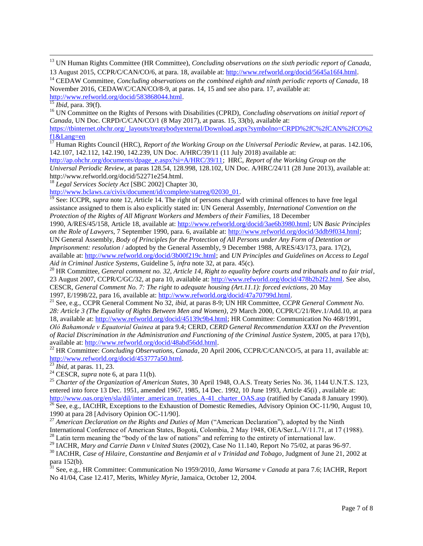<sup>13</sup> UN Human Rights Committee (HR Committee), *Concluding observations on the sixth periodic report of Canada*, 13 August 2015, CCPR/C/CAN/CO/6, at para. 18, available at: [http://www.refworld.org/docid/5645a16f4.html.](http://www.refworld.org/docid/5645a16f4.html)

<sup>14</sup> CEDAW Committee, *Concluding observations on the combined eighth and ninth periodic reports of Canada*, 18 November 2016, CEDAW/C/CAN/CO/8-9, at paras. 14, 15 and see also para. 17, available at: [http://www.refworld.org/docid/583868044.html.](http://www.refworld.org/docid/583868044.html)

 $\overline{\phantom{a}}$ 

<sup>16</sup> UN Committee on the Rights of Persons with Disabilities (CPRD), *Concluding observations on initial report of Canada*, UN Doc. CRPD/C/CAN/CO/1 (8 May 2017), at paras. 15, 33(b), available at:

[https://tbinternet.ohchr.org/\\_layouts/treatybodyexternal/Download.aspx?symbolno=CRPD%2fC%2fCAN%2fCO%2](https://tbinternet.ohchr.org/_layouts/treatybodyexternal/Download.aspx?symbolno=CRPD%2fC%2fCAN%2fCO%2f1&Lang=en) [f1&Lang=en](https://tbinternet.ohchr.org/_layouts/treatybodyexternal/Download.aspx?symbolno=CRPD%2fC%2fCAN%2fCO%2f1&Lang=en)

<sup>17</sup> Human Rights Council (HRC), *Report of the Working Group on the Universal Periodic Review*, at paras. 142.106, 142.107, 142.112, 142.190, 142.239, UN Doc. A/HRC/39/11 (11 July 2018) available at:

[http://ap.ohchr.org/documents/dpage\\_e.aspx?si=A/HRC/39/11;](http://ap.ohchr.org/documents/dpage_e.aspx?si=A/HRC/39/11) HRC, *Report of the Working Group on the Universal Periodic Review*, at paras 128.54, 128.998, 128.102, UN Doc. A/HRC/24/11 (28 June 2013), available at: http://www.refworld.org/docid/52271e254.html.

<sup>18</sup> *Legal Services Society Act* [SBC 2002] Chapter 30,

[http://www.bclaws.ca/civix/document/id/complete/statreg/02030\\_01.](http://www.bclaws.ca/civix/document/id/complete/statreg/02030_01)

<sup>19</sup> See: ICCPR, *supra* note 12, *Article* 14. The right of persons charged with criminal offences to have free legal assistance assigned to them is also explicitly stated in: UN General Assembly, *International Convention on the Protection of the Rights of All Migrant Workers and Members of their Families*, 18 December

1990, A/RES/45/158, Article 18, available at: [http://www.refworld.org/docid/3ae6b3980.html;](http://www.refworld.org/docid/3ae6b3980.html) UN *Basic Principles on the Role of Lawyers*, 7 September 1990, para. 6, available at: [http://www.refworld.org/docid/3ddb9f034.html;](http://www.refworld.org/docid/3ddb9f034.html) UN General Assembly, *Body of Principles for the Protection of All Persons under Any Form of Detention or Imprisonment: resolution / adopted by the General Assembly, 9 December 1988, A/RES/43/173, para. 17(2).* available at: [http://www.refworld.org/docid/3b00f219c.html;](http://www.refworld.org/docid/3b00f219c.html) and *UN Principles and Guidelines on Access to Legal Aid in Criminal Justice Systems,* Guideline 5, *infra* note 32, at para. 45(c).

<sup>20</sup> HR Committee, *General comment no. 32, Article 14, Right to equality before courts and tribunals and to fair trial*, 23 August 2007, CCPR/C/GC/32, at para 10, available at: [http://www.refworld.org/docid/478b2b2f2.html.](http://www.refworld.org/docid/478b2b2f2.html) See also, CESCR, *General Comment No. 7: The right to adequate housing (Art.11.1): forced evictions*, 20 May 1997, E/1998/22, para 16, available at: [http://www.refworld.org/docid/47a70799d.html.](http://www.refworld.org/docid/47a70799d.html)

<sup>21</sup> See, e.g., CCPR General Comment No 32, *ibid*, at paras 8-9; UN HR Committee, *CCPR General Comment No. 28: Article 3 (The Equality of Rights Between Men and Women)*, 29 March 2000, CCPR/C/21/Rev.1/Add.10, at para 18, available at: [http://www.refworld.org/docid/45139c9b4.html;](http://www.refworld.org/docid/45139c9b4.html) HR Committee: Communication No 468/1991, *Oló Bahamonde v Equatorial Guinea* at para 9.4; CERD, *CERD General Recommendation XXXI on the Prevention of Racial Discrimination in the Administration and Functioning of the Criminal Justice System*, 2005, at para 17(b),

available at: [http://www.refworld.org/docid/48abd56dd.html.](http://www.refworld.org/docid/48abd56dd.html) <sup>22</sup> HR Committee: *Concluding Observations, Canada,* 20 April 2006, CCPR/C/CAN/CO/5, at para 11, available at: [http://www.refworld.org/docid/453777a50.html.](http://www.refworld.org/docid/453777a50.html) 

<sup>23</sup> *Ibid,* at paras. 11, 23.

 $^{24}$  CESCR, *supra* note 6, at para 11(b).

<sup>25</sup> *Charter of the Organization of American States*, 30 April 1948, O.A.S. Treaty Series No. 36, 1144 U.N.T.S. 123, entered into force 13 Dec. 1951, amended 1967, 1985, 14 Dec. 1992, 10 June 1993, Article 45(i) , available at: [http://www.oas.org/en/sla/dil/inter\\_american\\_treaties\\_A-41\\_charter\\_OAS.asp](http://www.oas.org/en/sla/dil/inter_american_treaties_A-41_charter_OAS.asp) (ratified by Canada 8 January 1990).  $\frac{26}{26}$  See, e.g., IACtHR, Exceptions to the Exhaustion of Domestic Remedies, Advisory Opinion OC-11/90, August 10,

1990 at para 28 [Advisory Opinion OC-11/90].

<sup>27</sup> American Declaration on the Rights and Duties of Man ("American Declaration"), adopted by the Ninth International Conference of American States, Bogotá, Colombia, 2 May 1948, OEA/Ser.L./V/11.71, at 17 (1988). <sup>28</sup> Latin term meaning the "body of the law of nations" and referring to the entirety of international law.

<sup>29</sup> IACHR, *Mary and Carrie Dann v United States* (2002), Case No 11.140, Report No 75/02, at paras 96-97.

<sup>30</sup> IACtHR, *Case of Hilaire, Constantine and Benjamin et al v Trinidad and Tobago*, Judgment of June 21, 2002 at para 152(b).

<sup>31</sup> See, e.g., HR Committee: Communication No 1959/2010, *Jama Warsame v Canada* at para 7.6; IACHR, Report No 41/04, Case 12.417, Merits, *Whitley Myrie*, Jamaica, October 12, 2004.

<sup>15</sup> *Ibid,* para. 39(f).